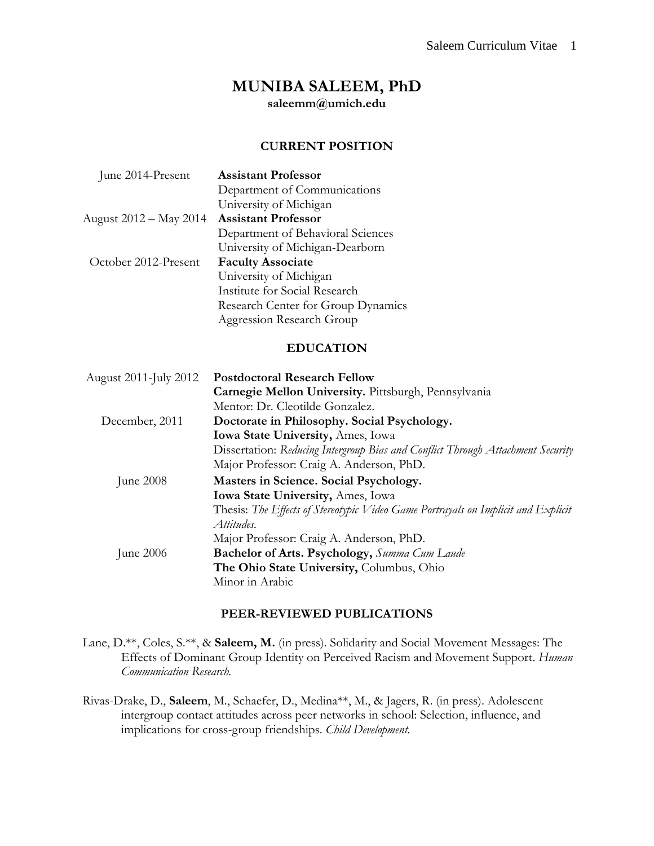# **MUNIBA SALEEM, PhD**

**saleemm@umich.edu**

#### **CURRENT POSITION**

| June 2014-Present      | <b>Assistant Professor</b>         |
|------------------------|------------------------------------|
|                        | Department of Communications       |
|                        | University of Michigan             |
| August 2012 – May 2014 | <b>Assistant Professor</b>         |
|                        | Department of Behavioral Sciences  |
|                        | University of Michigan-Dearborn    |
| October 2012-Present   | <b>Faculty Associate</b>           |
|                        | University of Michigan             |
|                        | Institute for Social Research      |
|                        | Research Center for Group Dynamics |
|                        | Aggression Research Group          |

#### **EDUCATION**

| August 2011-July 2012 | <b>Postdoctoral Research Fellow</b>                                                             |  |
|-----------------------|-------------------------------------------------------------------------------------------------|--|
|                       | Carnegie Mellon University. Pittsburgh, Pennsylvania                                            |  |
|                       | Mentor: Dr. Cleotilde Gonzalez.                                                                 |  |
| December, 2011        | Doctorate in Philosophy. Social Psychology.                                                     |  |
|                       | Iowa State University, Ames, Iowa                                                               |  |
|                       | Dissertation: Reducing Intergroup Bias and Conflict Through Attachment Security                 |  |
|                       | Major Professor: Craig A. Anderson, PhD.                                                        |  |
| June $2008$           | Masters in Science. Social Psychology.                                                          |  |
|                       | Iowa State University, Ames, Iowa                                                               |  |
|                       | Thesis: The Effects of Stereotypic Video Game Portrayals on Implicit and Explicit<br>Attitudes. |  |
|                       | Major Professor: Craig A. Anderson, PhD.                                                        |  |
| June $2006$           | <b>Bachelor of Arts. Psychology, Summa Cum Laude</b>                                            |  |
|                       | The Ohio State University, Columbus, Ohio                                                       |  |
|                       | Minor in Arabic                                                                                 |  |

#### **PEER-REVIEWED PUBLICATIONS**

Lane, D.\*\*, Coles, S.\*\*, & **Saleem, M.** (in press). Solidarity and Social Movement Messages: The Effects of Dominant Group Identity on Perceived Racism and Movement Support. *Human Communication Research.*

Rivas-Drake, D., **Saleem**, M., Schaefer, D., Medina\*\*, M., & Jagers, R. (in press). Adolescent intergroup contact attitudes across peer networks in school: Selection, influence, and implications for cross-group friendships. *Child Development.*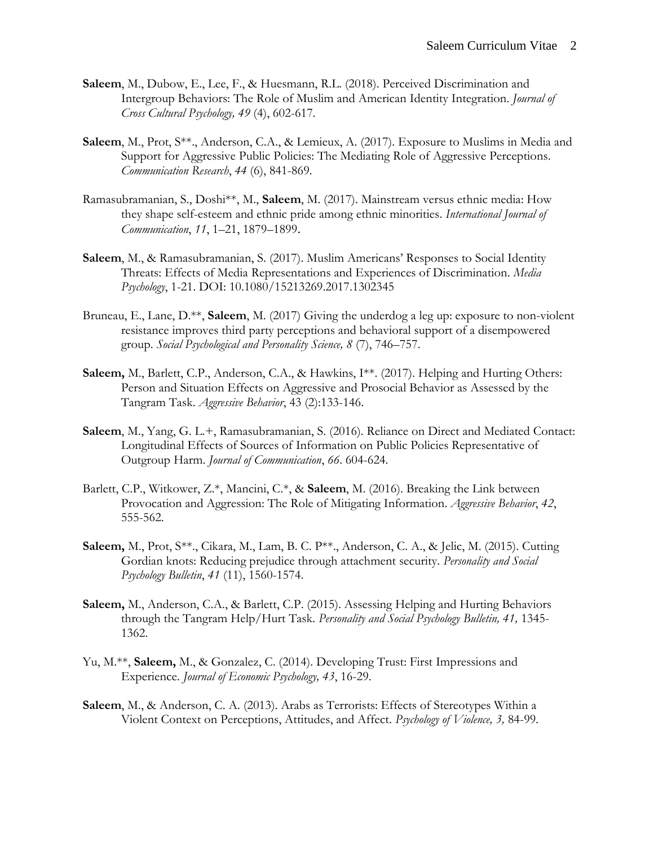- **Saleem**, M., Dubow, E., Lee, F., & Huesmann, R.L. (2018). Perceived Discrimination and Intergroup Behaviors: The Role of Muslim and American Identity Integration. *Journal of Cross Cultural Psychology, 49* (4), 602-617*.*
- **Saleem**, M., Prot, S\*\*., Anderson, C.A., & Lemieux, A. (2017). Exposure to Muslims in Media and Support for Aggressive Public Policies: The Mediating Role of Aggressive Perceptions. *Communication Research*, *44* (6), 841-869.
- Ramasubramanian, S., Doshi\*\*, M., **Saleem**, M. (2017). Mainstream versus ethnic media: How they shape self-esteem and ethnic pride among ethnic minorities. *International Journal of Communication*, *11*, 1–21, 1879–1899.
- **Saleem**, M., & Ramasubramanian, S. (2017). Muslim Americans' Responses to Social Identity Threats: Effects of Media Representations and Experiences of Discrimination. *Media Psychology*, 1-21. DOI: 10.1080/15213269.2017.1302345
- Bruneau, E., Lane, D.\*\*, **Saleem**, M. (2017) Giving the underdog a leg up: exposure to non-violent resistance improves third party perceptions and behavioral support of a disempowered group. *Social Psychological and Personality Science, 8* (7), 746–757.
- **Saleem,** M., Barlett, C.P., Anderson, C.A., & Hawkins, I\*\*. (2017). Helping and Hurting Others: Person and Situation Effects on Aggressive and Prosocial Behavior as Assessed by the Tangram Task. *Aggressive Behavior*, 43 (2):133-146.
- **Saleem**, M., Yang, G. L.+, Ramasubramanian, S. (2016). Reliance on Direct and Mediated Contact: Longitudinal Effects of Sources of Information on Public Policies Representative of Outgroup Harm. *Journal of Communication*, *66*. 604-624.
- Barlett, C.P., Witkower, Z.\*, Mancini, C.\*, & **Saleem**, M. (2016). Breaking the Link between Provocation and Aggression: The Role of Mitigating Information. *Aggressive Behavior*, *42*, 555-562.
- **Saleem,** M., Prot, S\*\*., Cikara, M., Lam, B. C. P\*\*., Anderson, C. A., & Jelic, M. (2015). Cutting Gordian knots: Reducing prejudice through attachment security. *Personality and Social Psychology Bulletin*, *41* (11), 1560-1574.
- **Saleem,** M., Anderson, C.A., & Barlett, C.P. (2015). Assessing Helping and Hurting Behaviors through the Tangram Help/Hurt Task. *Personality and Social Psychology Bulletin, 41,* 1345- 1362.
- Yu, M.\*\*, **Saleem,** M., & Gonzalez, C. (2014). Developing Trust: First Impressions and Experience. *Journal of Economic Psychology, 43*, 16-29.
- **Saleem**, M., & Anderson, C. A. (2013). Arabs as Terrorists: Effects of Stereotypes Within a Violent Context on Perceptions, Attitudes, and Affect. *Psychology of Violence, 3,* 84-99*.*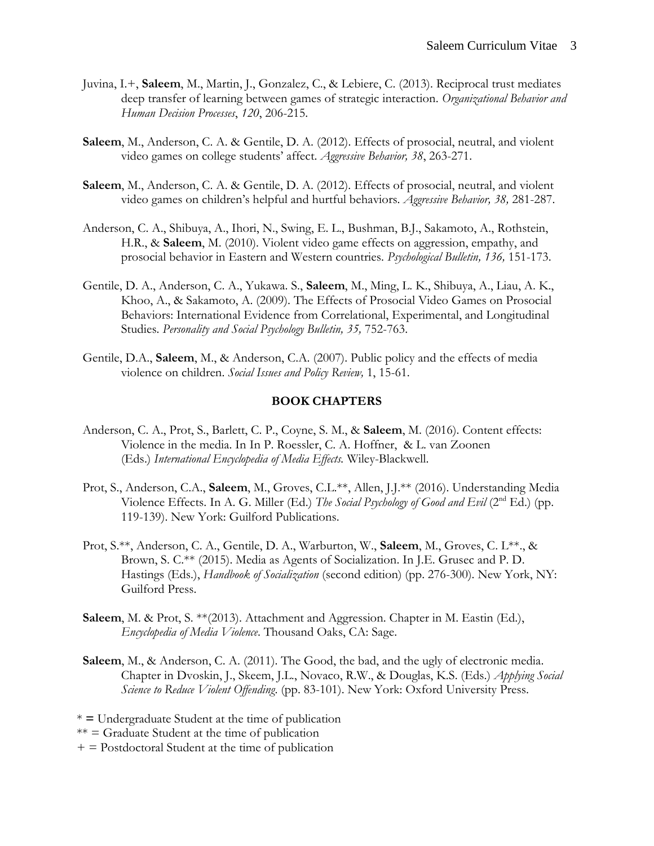- Juvina, I.+, **Saleem**, M., Martin, J., Gonzalez, C., & Lebiere, C. (2013). Reciprocal trust mediates deep transfer of learning between games of strategic interaction. *Organizational Behavior and Human Decision Processes*, *120*, 206-215.
- **Saleem**, M., Anderson, C. A. & Gentile, D. A. (2012). Effects of prosocial, neutral, and violent video games on college students' affect. *Aggressive Behavior, 38*, 263-271.
- **Saleem**, M., Anderson, C. A. & Gentile, D. A. (2012). Effects of prosocial, neutral, and violent video games on children's helpful and hurtful behaviors. *Aggressive Behavior, 38,* 281-287.
- Anderson, C. A., Shibuya, A., Ihori, N., Swing, E. L., Bushman, B.J., Sakamoto, A., Rothstein, H.R., & **Saleem**, M. (2010). Violent video game effects on aggression, empathy, and prosocial behavior in Eastern and Western countries. *Psychological Bulletin, 136,* 151-173.
- Gentile, D. A., Anderson, C. A., Yukawa. S., **Saleem**, M., Ming, L. K., Shibuya, A., Liau, A. K., Khoo, A., & Sakamoto, A. (2009). The Effects of Prosocial Video Games on Prosocial Behaviors: International Evidence from Correlational, Experimental, and Longitudinal Studies. *Personality and Social Psychology Bulletin, 35,* 752-763.
- Gentile, D.A., **Saleem**, M., & Anderson, C.A. (2007). Public policy and the effects of media violence on children. *Social Issues and Policy Review,* 1, 15-61.

#### **BOOK CHAPTERS**

- Anderson, C. A., Prot, S., Barlett, C. P., Coyne, S. M., & **Saleem**, M. (2016). Content effects: Violence in the media. In In P. Roessler, C. A. Hoffner, & L. van Zoonen (Eds.) *International Encyclopedia of Media Effects.* Wiley-Blackwell.
- Prot, S., Anderson, C.A., **Saleem**, M., Groves, C.L.\*\*, Allen, J.J.\*\* (2016). Understanding Media Violence Effects. In A. G. Miller (Ed.) *The Social Psychology of Good and Evil* (2nd Ed.) (pp. 119-139). New York: Guilford Publications.
- Prot, S.\*\*, Anderson, C. A., Gentile, D. A., Warburton, W., **Saleem**, M., Groves, C. L\*\*., & Brown, S. C.\*\* (2015). Media as Agents of Socialization. In J.E. Grusec and P. D. Hastings (Eds.), *Handbook of Socialization* (second edition) (pp. 276-300). New York, NY: Guilford Press.
- **Saleem**, M. & Prot, S. \*\*(2013). Attachment and Aggression. Chapter in M. Eastin (Ed.), *Encyclopedia of Media Violence*. Thousand Oaks, CA: Sage.
- **Saleem**, M., & Anderson, C. A. (2011). The Good, the bad, and the ugly of electronic media. Chapter in Dvoskin, J., Skeem, J.L., Novaco, R.W., & Douglas, K.S. (Eds.) *Applying Social Science to Reduce Violent Offending*. (pp. 83-101). New York: Oxford University Press.

\* **=** Undergraduate Student at the time of publication

 $** =$  Graduate Student at the time of publication

 $+$  = Postdoctoral Student at the time of publication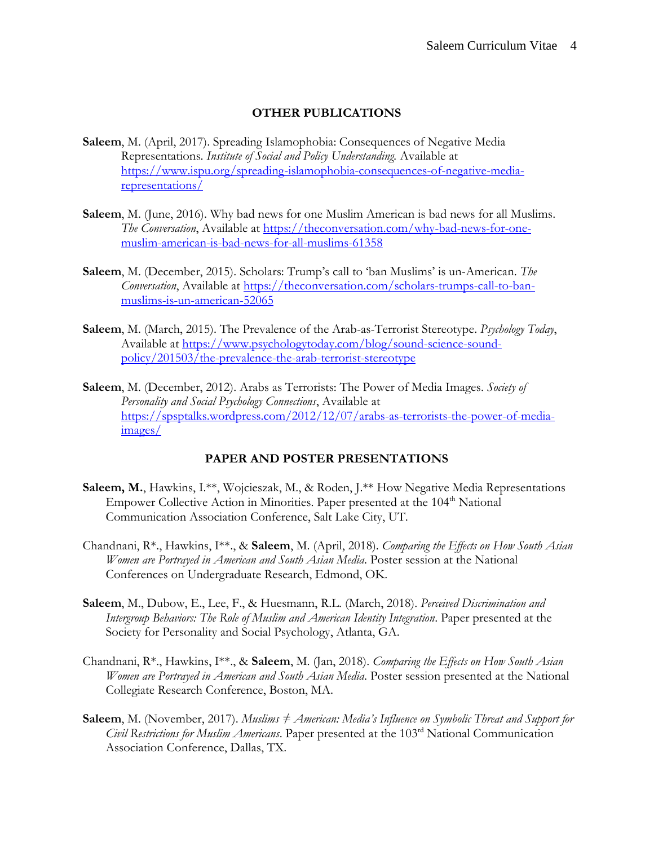#### **OTHER PUBLICATIONS**

- **Saleem**, M. (April, 2017). Spreading Islamophobia: Consequences of Negative Media Representations. *Institute of Social and Policy Understanding.* Available at [https://www.ispu.org/spreading-islamophobia-consequences-of-negative-media](https://www.ispu.org/spreading-islamophobia-consequences-of-negative-media-representations/)[representations/](https://www.ispu.org/spreading-islamophobia-consequences-of-negative-media-representations/)
- **Saleem**, M. (June, 2016). Why bad news for one Muslim American is bad news for all Muslims. *The Conversation*, Available at [https://theconversation.com/why-bad-news-for-one](https://theconversation.com/why-bad-news-for-one-muslim-american-is-bad-news-for-all-muslims-61358)[muslim-american-is-bad-news-for-all-muslims-61358](https://theconversation.com/why-bad-news-for-one-muslim-american-is-bad-news-for-all-muslims-61358)
- **Saleem**, M. (December, 2015). Scholars: Trump's call to 'ban Muslims' is un-American. *The Conversation*, Available at [https://theconversation.com/scholars-trumps-call-to-ban](https://theconversation.com/scholars-trumps-call-to-ban-muslims-is-un-american-52065)[muslims-is-un-american-52065](https://theconversation.com/scholars-trumps-call-to-ban-muslims-is-un-american-52065)
- **Saleem**, M. (March, 2015). The Prevalence of the Arab-as-Terrorist Stereotype. *Psychology Today*, Available at [https://www.psychologytoday.com/blog/sound-science-sound](https://www.psychologytoday.com/blog/sound-science-sound-policy/201503/the-prevalence-the-arab-terrorist-stereotype)[policy/201503/the-prevalence-the-arab-terrorist-stereotype](https://www.psychologytoday.com/blog/sound-science-sound-policy/201503/the-prevalence-the-arab-terrorist-stereotype)
- **Saleem**, M. (December, 2012). Arabs as Terrorists: The Power of Media Images. *Society of Personality and Social Psychology Connections*, Available at [https://spsptalks.wordpress.com/2012/12/07/arabs-as-terrorists-the-power-of-media](https://spsptalks.wordpress.com/2012/12/07/arabs-as-terrorists-the-power-of-media-images/)[images/](https://spsptalks.wordpress.com/2012/12/07/arabs-as-terrorists-the-power-of-media-images/)

### **PAPER AND POSTER PRESENTATIONS**

- Saleem, M., Hawkins, I.\*\*, Wojcieszak, M., & Roden, J.\*\* How Negative Media Representations Empower Collective Action in Minorities. Paper presented at the 104<sup>th</sup> National Communication Association Conference, Salt Lake City, UT.
- Chandnani, R\*., Hawkins, I\*\*., & **Saleem**, M. (April, 2018). *Comparing the Effects on How South Asian Women are Portrayed in American and South Asian Media*. Poster session at the National Conferences on Undergraduate Research, Edmond, OK.
- **Saleem**, M., Dubow, E., Lee, F., & Huesmann, R.L. (March, 2018). *Perceived Discrimination and Intergroup Behaviors: The Role of Muslim and American Identity Integration*. Paper presented at the Society for Personality and Social Psychology, Atlanta, GA.
- Chandnani, R\*., Hawkins, I\*\*., & **Saleem**, M. (Jan, 2018). *Comparing the Effects on How South Asian Women are Portrayed in American and South Asian Media*. Poster session presented at the National Collegiate Research Conference, Boston, MA.
- **Saleem**, M. (November, 2017). *Muslims ≠ American: Media's Influence on Symbolic Threat and Support for Civil Restrictions for Muslim Americans*. Paper presented at the 103rd National Communication Association Conference, Dallas, TX.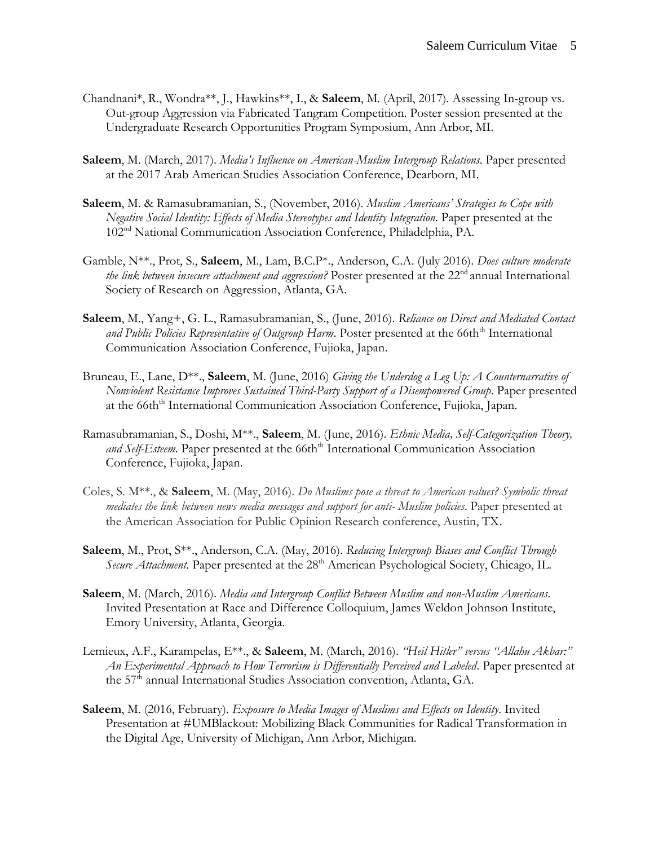- Chandnani\*, R., Wondra\*\*, J., Hawkins\*\*, I., & **Saleem**, M. (April, 2017). Assessing In-group vs. Out-group Aggression via Fabricated Tangram Competition. Poster session presented at the Undergraduate Research Opportunities Program Symposium, Ann Arbor, MI.
- **Saleem**, M. (March, 2017). *Media's Influence on American-Muslim Intergroup Relations*. Paper presented at the 2017 Arab American Studies Association Conference, Dearborn, MI.
- **Saleem**, M. & Ramasubramanian, S., (November, 2016). *Muslim Americans' Strategies to Cope with Negative Social Identity: Effects of Media Stereotypes and Identity Integration*. Paper presented at the 102nd National Communication Association Conference, Philadelphia, PA.
- Gamble, N\*\*., Prot, S., **Saleem**, M., Lam, B.C.P\*., Anderson, C.A. (July 2016). *Does culture moderate the link between insecure attachment and aggression?* Poster presented at the 22<sup>nd</sup> annual International Society of Research on Aggression, Atlanta, GA.
- **Saleem**, M., Yang+, G. L., Ramasubramanian, S., (June, 2016). *Reliance on Direct and Mediated Contact*  and Public Policies Representative of Outgroup Harm. Poster presented at the 66th<sup>th</sup> International Communication Association Conference, Fujioka, Japan.
- Bruneau, E., Lane, D\*\*., **Saleem**, M. (June, 2016) *Giving the Underdog a Leg Up: A Counternarrative of Nonviolent Resistance Improves Sustained Third-Party Support of a Disempowered Group. Paper presented* at the 66th<sup>th</sup> International Communication Association Conference, Fujioka, Japan.
- Ramasubramanian, S., Doshi, M\*\*., **Saleem**, M. (June, 2016). *Ethnic Media, Self-Categorization Theory,*  and Self-Esteem. Paper presented at the 66th<sup>th</sup> International Communication Association Conference, Fujioka, Japan.
- Coles, S. M\*\*., & **Saleem**, M. (May, 2016). *Do Muslims pose a threat to American values? Symbolic threat mediates the link between news media messages and support for anti- Muslim policies*. Paper presented at the American Association for Public Opinion Research conference, Austin, TX.
- **Saleem**, M., Prot, S\*\*., Anderson, C.A. (May, 2016). *Reducing Intergroup Biases and Conflict Through*  Secure Attachment. Paper presented at the 28<sup>th</sup> American Psychological Society, Chicago, IL.
- **Saleem**, M. (March, 2016). *Media and Intergroup Conflict Between Muslim and non-Muslim Americans*. Invited Presentation at Race and Difference Colloquium, James Weldon Johnson Institute, Emory University, Atlanta, Georgia.
- Lemieux, A.F., Karampelas, E\*\*., & **Saleem**, M. (March, 2016). *"Heil Hitler" versus "Allahu Akbar:" An Experimental Approach to How Terrorism is Differentially Perceived and Labeled*. Paper presented at the 57<sup>th</sup> annual International Studies Association convention, Atlanta, GA.
- **Saleem**, M. (2016, February). *Exposure to Media Images of Muslims and Effects on Identity*. Invited Presentation at #UMBlackout: Mobilizing Black Communities for Radical Transformation in the Digital Age, University of Michigan, Ann Arbor, Michigan.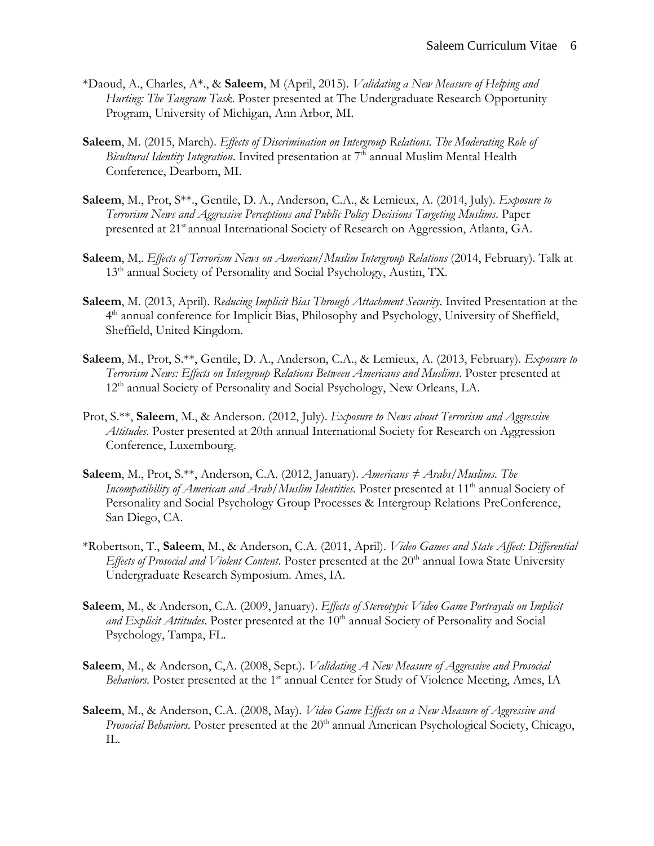- \*Daoud, A., Charles, A\*., & **Saleem**, M (April, 2015). *Validating a New Measure of Helping and Hurting: The Tangram Task*. Poster presented at The Undergraduate Research Opportunity Program, University of Michigan, Ann Arbor, MI.
- **Saleem**, M. (2015, March). *Effects of Discrimination on Intergroup Relations. The Moderating Role of Bicultural Identity Integration*. Invited presentation at 7<sup>th</sup> annual Muslim Mental Health Conference, Dearborn, MI.
- **Saleem**, M., Prot, S\*\*., Gentile, D. A., Anderson, C.A., & Lemieux, A. (2014, July). *Exposure to Terrorism News and Aggressive Perceptions and Public Policy Decisions Targeting Muslims*. Paper presented at 21<sup>st</sup> annual International Society of Research on Aggression, Atlanta, GA.
- **Saleem**, M,. *Effects of Terrorism News on American/Muslim Intergroup Relations* (2014, February). Talk at 13<sup>th</sup> annual Society of Personality and Social Psychology, Austin, TX.
- **Saleem**, M. (2013, April). *Reducing Implicit Bias Through Attachment Security*. Invited Presentation at the 4<sup>th</sup> annual conference for Implicit Bias, Philosophy and Psychology, University of Sheffield, Sheffield, United Kingdom.
- **Saleem**, M., Prot, S.\*\*, Gentile, D. A., Anderson, C.A., & Lemieux, A. (2013, February). *Exposure to Terrorism News: Effects on Intergroup Relations Between Americans and Muslims*. Poster presented at 12<sup>th</sup> annual Society of Personality and Social Psychology, New Orleans, LA.
- Prot, S.\*\*, **Saleem**, M., & Anderson. (2012, July). *Exposure to News about Terrorism and Aggressive Attitudes*. Poster presented at 20th annual International Society for Research on Aggression Conference, Luxembourg.
- **Saleem**, M., Prot, S.\*\*, Anderson, C.A. (2012, January). *Americans ≠ Arabs/Muslims. The*  Incompatibility of American and Arab/Muslim Identities. Poster presented at 11<sup>th</sup> annual Society of Personality and Social Psychology Group Processes & Intergroup Relations PreConference, San Diego, CA.
- \*Robertson, T., **Saleem**, M., & Anderson, C.A. (2011, April). *Video Games and State Affect: Differential Effects of Prosocial and Violent Content*. Poster presented at the 20<sup>th</sup> annual Iowa State University Undergraduate Research Symposium. Ames, IA.
- **Saleem**, M., & Anderson, C.A. (2009, January). *Effects of Stereotypic Video Game Portrayals on Implicit*  and Explicit Attitudes. Poster presented at the 10<sup>th</sup> annual Society of Personality and Social Psychology, Tampa, FL.
- **Saleem**, M., & Anderson, C,A. (2008, Sept.). *Validating A New Measure of Aggressive and Prosocial Behaviors*. Poster presented at the 1<sup>st</sup> annual Center for Study of Violence Meeting, Ames, IA
- **Saleem**, M., & Anderson, C.A. (2008, May). *Video Game Effects on a New Measure of Aggressive and Prosocial Behaviors*. Poster presented at the 20<sup>th</sup> annual American Psychological Society, Chicago, IL.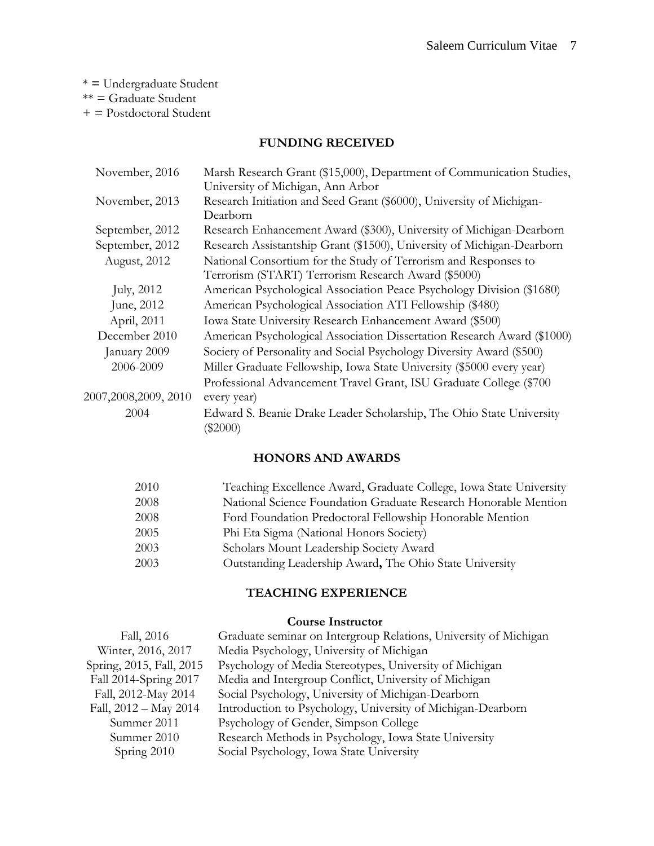\* **=** Undergraduate Student \*\* = Graduate Student + = Postdoctoral Student

### **FUNDING RECEIVED**

| November, 2016         | Marsh Research Grant (\$15,000), Department of Communication Studies,   |  |
|------------------------|-------------------------------------------------------------------------|--|
|                        | University of Michigan, Ann Arbor                                       |  |
| November, 2013         | Research Initiation and Seed Grant (\$6000), University of Michigan-    |  |
|                        | Dearborn                                                                |  |
| September, 2012        | Research Enhancement Award (\$300), University of Michigan-Dearborn     |  |
| September, 2012        | Research Assistantship Grant (\$1500), University of Michigan-Dearborn  |  |
| August, 2012           | National Consortium for the Study of Terrorism and Responses to         |  |
|                        | Terrorism (START) Terrorism Research Award (\$5000)                     |  |
| July, 2012             | American Psychological Association Peace Psychology Division (\$1680)   |  |
| June, 2012             | American Psychological Association ATI Fellowship (\$480)               |  |
| April, 2011            | Iowa State University Research Enhancement Award (\$500)                |  |
| December 2010          | American Psychological Association Dissertation Research Award (\$1000) |  |
| January 2009           | Society of Personality and Social Psychology Diversity Award (\$500)    |  |
| 2006-2009              | Miller Graduate Fellowship, Iowa State University (\$5000 every year)   |  |
|                        | Professional Advancement Travel Grant, ISU Graduate College (\$700      |  |
| 2007, 2008, 2009, 2010 | every year)                                                             |  |
| 2004                   | Edward S. Beanie Drake Leader Scholarship, The Ohio State University    |  |
|                        | $(\$2000)$                                                              |  |
|                        |                                                                         |  |

# **HONORS AND AWARDS**

| 2010 | Teaching Excellence Award, Graduate College, Iowa State University |
|------|--------------------------------------------------------------------|
| 2008 | National Science Foundation Graduate Research Honorable Mention    |
| 2008 | Ford Foundation Predoctoral Fellowship Honorable Mention           |
| 2005 | Phi Eta Sigma (National Honors Society)                            |
| 2003 | Scholars Mount Leadership Society Award                            |
| 2003 | Outstanding Leadership Award, The Ohio State University            |

## **TEACHING EXPERIENCE**

#### **Course Instructor**

| Fall, 2016               | Graduate seminar on Intergroup Relations, University of Michigan |
|--------------------------|------------------------------------------------------------------|
| Winter, 2016, 2017       | Media Psychology, University of Michigan                         |
| Spring, 2015, Fall, 2015 | Psychology of Media Stereotypes, University of Michigan          |
| Fall 2014-Spring 2017    | Media and Intergroup Conflict, University of Michigan            |
| Fall, 2012-May 2014      | Social Psychology, University of Michigan-Dearborn               |
| Fall, 2012 - May 2014    | Introduction to Psychology, University of Michigan-Dearborn      |
| Summer 2011              | Psychology of Gender, Simpson College                            |
| Summer 2010              | Research Methods in Psychology, Iowa State University            |
| Spring 2010              | Social Psychology, Iowa State University                         |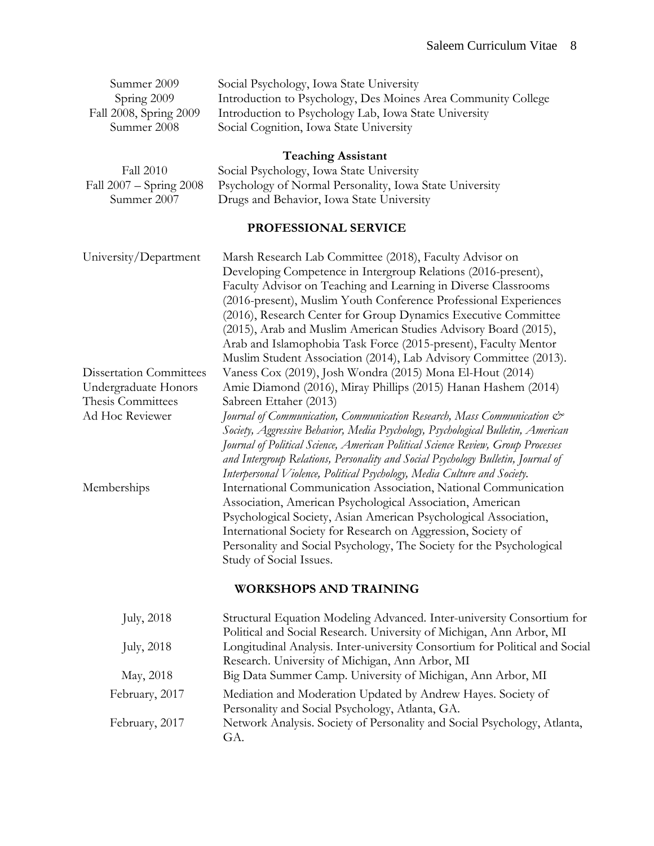| Summer 2009<br>Spring 2009<br>Fall 2008, Spring 2009<br>Summer 2008                            | Social Psychology, Iowa State University<br>Introduction to Psychology, Des Moines Area Community College<br>Introduction to Psychology Lab, Iowa State University<br>Social Cognition, Iowa State University                                                                                                                                                                                                                                                                                                                               |
|------------------------------------------------------------------------------------------------|---------------------------------------------------------------------------------------------------------------------------------------------------------------------------------------------------------------------------------------------------------------------------------------------------------------------------------------------------------------------------------------------------------------------------------------------------------------------------------------------------------------------------------------------|
| <b>Fall 2010</b><br>Fall 2007 - Spring 2008<br>Summer 2007                                     | <b>Teaching Assistant</b><br>Social Psychology, Iowa State University<br>Psychology of Normal Personality, Iowa State University<br>Drugs and Behavior, Iowa State University                                                                                                                                                                                                                                                                                                                                                               |
|                                                                                                | PROFESSIONAL SERVICE                                                                                                                                                                                                                                                                                                                                                                                                                                                                                                                        |
| University/Department                                                                          | Marsh Research Lab Committee (2018), Faculty Advisor on<br>Developing Competence in Intergroup Relations (2016-present),<br>Faculty Advisor on Teaching and Learning in Diverse Classrooms<br>(2016-present), Muslim Youth Conference Professional Experiences<br>(2016), Research Center for Group Dynamics Executive Committee<br>(2015), Arab and Muslim American Studies Advisory Board (2015),<br>Arab and Islamophobia Task Force (2015-present), Faculty Mentor<br>Muslim Student Association (2014), Lab Advisory Committee (2013). |
| <b>Dissertation Committees</b><br>Undergraduate Honors<br>Thesis Committees<br>Ad Hoc Reviewer | Vaness Cox (2019), Josh Wondra (2015) Mona El-Hout (2014)<br>Amie Diamond (2016), Miray Phillips (2015) Hanan Hashem (2014)<br>Sabreen Ettaher (2013)<br>Journal of Communication, Communication Research, Mass Communication &<br>Society, Aggressive Behavior, Media Psychology, Psychological Bulletin, American<br>Journal of Political Science, American Political Science Review, Group Processes<br>and Intergroup Relations, Personality and Social Psychology Bulletin, Journal of                                                 |
| Memberships                                                                                    | Interpersonal Violence, Political Psychology, Media Culture and Society.<br>International Communication Association, National Communication<br>Association, American Psychological Association, American<br>Psychological Society, Asian American Psychological Association,<br>International Society for Research on Aggression, Society of<br>Personality and Social Psychology, The Society for the Psychological<br>Study of Social Issues.                                                                                             |
|                                                                                                | <b>WORKSHOPS AND TRAINING</b>                                                                                                                                                                                                                                                                                                                                                                                                                                                                                                               |
| July, 2018                                                                                     | Structural Equation Modeling Advanced. Inter-university Consortium for<br>Political and Social Research. University of Michigan, Ann Arbor, MI                                                                                                                                                                                                                                                                                                                                                                                              |
| <b>July</b> , 2018                                                                             | Longitudinal Analysis. Inter-university Consortium for Political and Social<br>Research. University of Michigan, Ann Arbor, MI                                                                                                                                                                                                                                                                                                                                                                                                              |
| May, 2018                                                                                      | Big Data Summer Camp. University of Michigan, Ann Arbor, MI                                                                                                                                                                                                                                                                                                                                                                                                                                                                                 |
| February, 2017                                                                                 | Mediation and Moderation Updated by Andrew Hayes. Society of<br>Personality and Social Psychology, Atlanta, GA.                                                                                                                                                                                                                                                                                                                                                                                                                             |
| February, 2017                                                                                 | Network Analysis. Society of Personality and Social Psychology, Atlanta,                                                                                                                                                                                                                                                                                                                                                                                                                                                                    |

GA.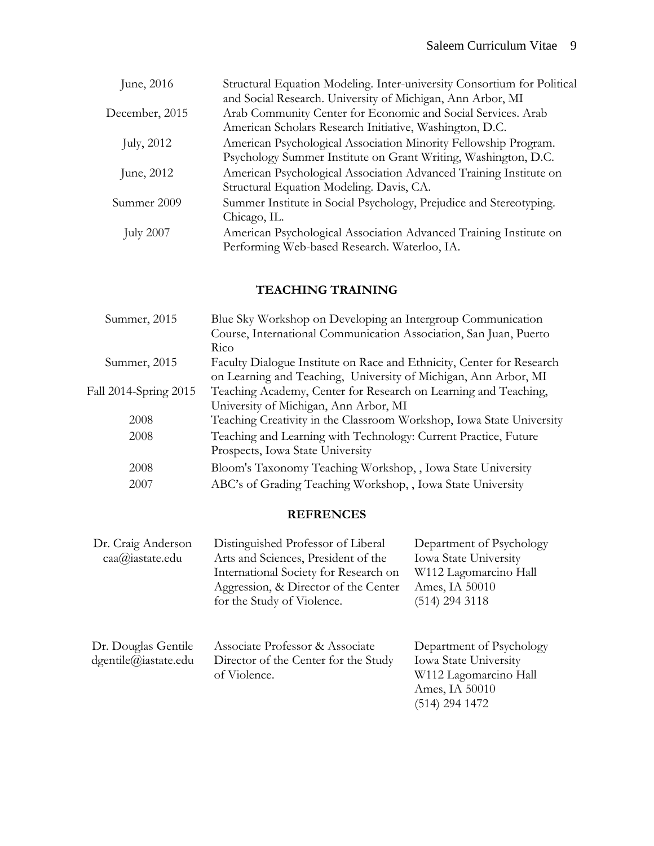| June, 2016       | Structural Equation Modeling. Inter-university Consortium for Political |
|------------------|-------------------------------------------------------------------------|
|                  | and Social Research. University of Michigan, Ann Arbor, MI              |
| December, 2015   | Arab Community Center for Economic and Social Services. Arab            |
|                  | American Scholars Research Initiative, Washington, D.C.                 |
| July, 2012       | American Psychological Association Minority Fellowship Program.         |
|                  | Psychology Summer Institute on Grant Writing, Washington, D.C.          |
| June, 2012       | American Psychological Association Advanced Training Institute on       |
|                  | Structural Equation Modeling. Davis, CA.                                |
| Summer 2009      | Summer Institute in Social Psychology, Prejudice and Stereotyping.      |
|                  | Chicago, IL.                                                            |
| <b>July 2007</b> | American Psychological Association Advanced Training Institute on       |
|                  | Performing Web-based Research. Waterloo, IA.                            |

# **TEACHING TRAINING**

| Summer, 2015          | Blue Sky Workshop on Developing an Intergroup Communication           |  |
|-----------------------|-----------------------------------------------------------------------|--|
|                       | Course, International Communication Association, San Juan, Puerto     |  |
|                       | Rico                                                                  |  |
| Summer, 2015          | Faculty Dialogue Institute on Race and Ethnicity, Center for Research |  |
|                       | on Learning and Teaching, University of Michigan, Ann Arbor, MI       |  |
| Fall 2014-Spring 2015 | Teaching Academy, Center for Research on Learning and Teaching,       |  |
|                       | University of Michigan, Ann Arbor, MI                                 |  |
| 2008                  | Teaching Creativity in the Classroom Workshop, Iowa State University  |  |
| 2008                  | Teaching and Learning with Technology: Current Practice, Future       |  |
|                       | Prospects, Iowa State University                                      |  |
| 2008                  | Bloom's Taxonomy Teaching Workshop, , Iowa State University           |  |
| 2007                  | ABC's of Grading Teaching Workshop,, Iowa State University            |  |
|                       |                                                                       |  |

# **REFRENCES**

| Dr. Craig Anderson<br>caa@iastate.edu       | Distinguished Professor of Liberal<br>Arts and Sciences, President of the<br>International Society for Research on<br>Aggression, & Director of the Center<br>for the Study of Violence. | Department of Psychology<br><b>Iowa State University</b><br>W112 Lagomarcino Hall<br>Ames, IA 50010<br>(514) 294 3118 |
|---------------------------------------------|------------------------------------------------------------------------------------------------------------------------------------------------------------------------------------------|-----------------------------------------------------------------------------------------------------------------------|
| Dr. Douglas Gentile<br>dgentile@iastate.edu | Associate Professor & Associate<br>Director of the Center for the Study<br>of Violence.                                                                                                  | Department of Psychology<br><b>Iowa State University</b><br>W112 Lagomarcino Hall<br>Ames, IA 50010<br>(514) 294 1472 |